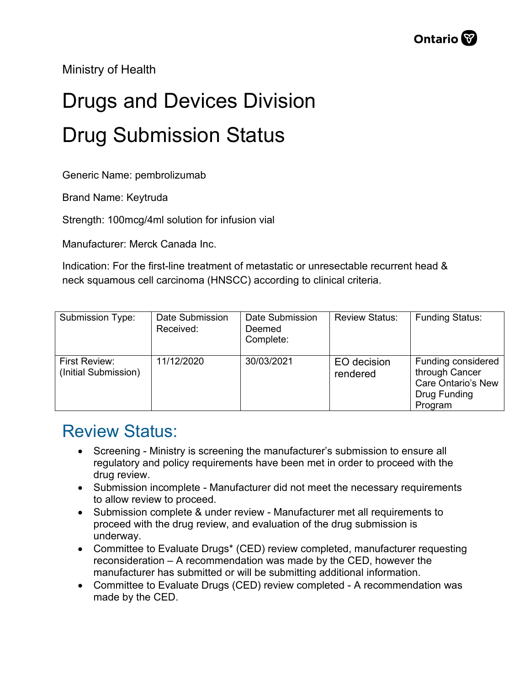Ministry of Health

## Drugs and Devices Division Drug Submission Status

Generic Name: pembrolizumab

Brand Name: Keytruda

Strength: 100mcg/4ml solution for infusion vial

Manufacturer: Merck Canada Inc.

Indication: For the first-line treatment of metastatic or unresectable recurrent head & neck squamous cell carcinoma (HNSCC) according to clinical criteria.

| Submission Type:                      | Date Submission<br>Received: | Date Submission<br>Deemed<br>Complete: | <b>Review Status:</b>   | <b>Funding Status:</b>                                                                       |
|---------------------------------------|------------------------------|----------------------------------------|-------------------------|----------------------------------------------------------------------------------------------|
| First Review:<br>(Initial Submission) | 11/12/2020                   | 30/03/2021                             | EO decision<br>rendered | Funding considered<br>through Cancer<br><b>Care Ontario's New</b><br>Drug Funding<br>Program |

## Review Status:

- Screening Ministry is screening the manufacturer's submission to ensure all regulatory and policy requirements have been met in order to proceed with the drug review.
- Submission incomplete Manufacturer did not meet the necessary requirements to allow review to proceed.
- Submission complete & under review Manufacturer met all requirements to proceed with the drug review, and evaluation of the drug submission is underway.
- Committee to Evaluate Drugs\* (CED) review completed, manufacturer requesting reconsideration – A recommendation was made by the CED, however the manufacturer has submitted or will be submitting additional information.
- Committee to Evaluate Drugs (CED) review completed A recommendation was made by the CED.